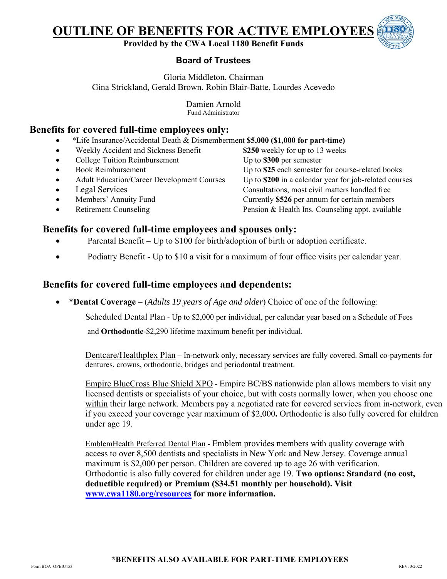# **OUTLINE OF BENEFITS FOR ACTIVE EMPLOYEES**

## **Provided by the CWA Local 1180 Benefit Funds**

## **Board of Trustees**

Gloria Middleton, Chairman Gina Strickland, Gerald Brown, Robin Blair-Batte, Lourdes Acevedo

> Damien Arnold Fund Administrator

## **Benefits for covered full-time employees only:**

- \*Life Insurance/Accidental Death & Dismemberment **\$5,000 (\$1,000 for part-time)**
- Weekly Accident and Sickness Benefit **\$250** weekly for up to 13 weeks
- College Tuition Reimbursement Up to **\$300** per semester
- 
- 
- 
- 
- 

• Book Reimbursement Up to \$25 each semester for course-related books Adult Education/Career Development Courses Up to \$200 in a calendar year for job-related courses • Legal Services Consultations, most civil matters handled free Members' Annuity Fund Currently **\$526** per annum for certain members • Retirement Counseling Pension & Health Ins. Counseling appt. available

## **Benefits for covered full-time employees and spouses only:**

- Parental Benefit Up to \$100 for birth/adoption of birth or adoption certificate.
- Podiatry Benefit Up to \$10 a visit for a maximum of four office visits per calendar year.

# **Benefits for covered full-time employees and dependents:**

\***Dental Coverage** – (*Adults 19 years of Age and older*) Choice of one of the following:

Scheduled Dental Plan - Up to \$2,000 per individual, per calendar year based on a Schedule of Fees

and **Orthodontic**-\$2,290 lifetime maximum benefit per individual.

Dentcare/Healthplex Plan – In-network only, necessary services are fully covered. Small co-payments for dentures, crowns, orthodontic, bridges and periodontal treatment.

Empire BlueCross Blue Shield XPO - Empire BC/BS nationwide plan allows members to visit any licensed dentists or specialists of your choice, but with costs normally lower, when you choose one within their large network. Members pay a negotiated rate for covered services from in-network, even if you exceed your coverage year maximum of \$2,000**.** Orthodontic is also fully covered for children under age 19.

EmblemHealth Preferred Dental Plan - Emblem provides members with quality coverage with access to over 8,500 dentists and specialists in New York and New Jersey. Coverage annual maximum is \$2,000 per person. Children are covered up to age 26 with verification. Orthodontic is also fully covered for children under age 19. **Two options: Standard (no cost, deductible required) or Premium (\$34.51 monthly per household). Visit www.cwa1180.org/resources for more information.**